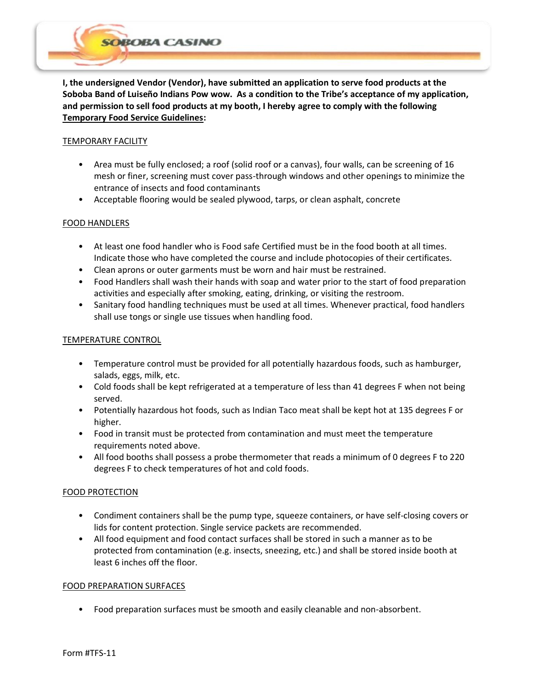**I, the undersigned Vendor (Vendor), have submitted an application to serve food products at the Soboba Band of Luiseño Indians Pow wow. As a condition to the Tribe's acceptance of my application, and permission to sell food products at my booth, I hereby agree to comply with the following Temporary Food Service Guidelines:**

## TEMPORARY FACILITY

**BOBA CASINO** 

- Area must be fully enclosed; a roof (solid roof or a canvas), four walls, can be screening of 16 mesh or finer, screening must cover pass-through windows and other openings to minimize the entrance of insects and food contaminants
- Acceptable flooring would be sealed plywood, tarps, or clean asphalt, concrete

# FOOD HANDLERS

- At least one food handler who is Food safe Certified must be in the food booth at all times. Indicate those who have completed the course and include photocopies of their certificates.
- Clean aprons or outer garments must be worn and hair must be restrained.
- Food Handlers shall wash their hands with soap and water prior to the start of food preparation activities and especially after smoking, eating, drinking, or visiting the restroom.
- Sanitary food handling techniques must be used at all times. Whenever practical, food handlers shall use tongs or single use tissues when handling food.

## TEMPERATURE CONTROL

- Temperature control must be provided for all potentially hazardous foods, such as hamburger, salads, eggs, milk, etc.
- Cold foods shall be kept refrigerated at a temperature of less than 41 degrees F when not being served.
- Potentially hazardous hot foods, such as Indian Taco meat shall be kept hot at 135 degrees F or higher.
- Food in transit must be protected from contamination and must meet the temperature requirements noted above.
- All food booths shall possess a probe thermometer that reads a minimum of 0 degrees F to 220 degrees F to check temperatures of hot and cold foods.

# FOOD PROTECTION

- Condiment containers shall be the pump type, squeeze containers, or have self-closing covers or lids for content protection. Single service packets are recommended.
- All food equipment and food contact surfaces shall be stored in such a manner as to be protected from contamination (e.g. insects, sneezing, etc.) and shall be stored inside booth at least 6 inches off the floor.

## FOOD PREPARATION SURFACES

• Food preparation surfaces must be smooth and easily cleanable and non-absorbent.